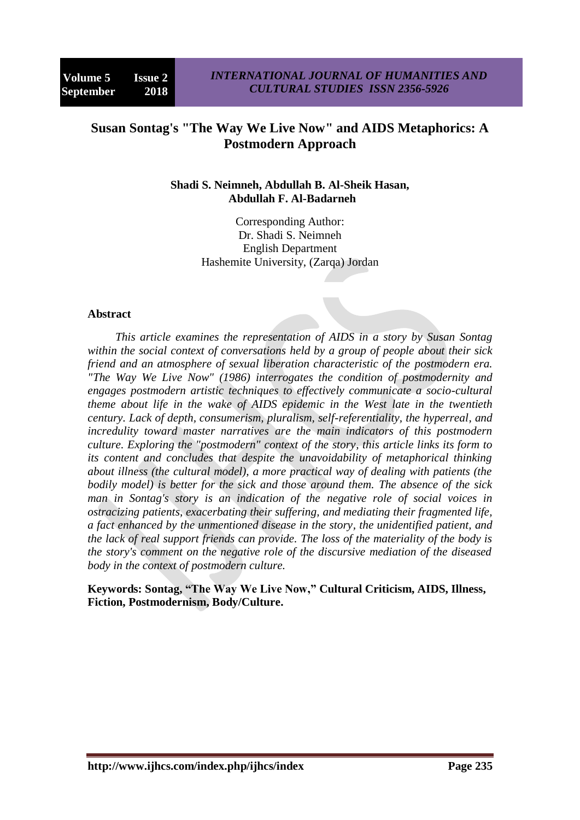# **Susan Sontag's "The Way We Live Now" and AIDS Metaphorics: A Postmodern Approach**

#### **Shadi S. Neimneh, Abdullah B. Al-Sheik Hasan, Abdullah F. Al-Badarneh**

Corresponding Author: Dr. Shadi S. Neimneh English Department Hashemite University, (Zarqa) Jordan

#### **Abstract**

*This article examines the representation of AIDS in a story by Susan Sontag within the social context of conversations held by a group of people about their sick friend and an atmosphere of sexual liberation characteristic of the postmodern era. "The Way We Live Now" (1986) interrogates the condition of postmodernity and engages postmodern artistic techniques to effectively communicate a socio-cultural theme about life in the wake of AIDS epidemic in the West late in the twentieth century. Lack of depth, consumerism, pluralism, self-referentiality, the hyperreal, and incredulity toward master narratives are the main indicators of this postmodern culture. Exploring the "postmodern" context of the story, this article links its form to its content and concludes that despite the unavoidability of metaphorical thinking about illness (the cultural model), a more practical way of dealing with patients (the bodily model) is better for the sick and those around them. The absence of the sick man in Sontag's story is an indication of the negative role of social voices in ostracizing patients, exacerbating their suffering, and mediating their fragmented life, a fact enhanced by the unmentioned disease in the story, the unidentified patient, and the lack of real support friends can provide. The loss of the materiality of the body is the story's comment on the negative role of the discursive mediation of the diseased body in the context of postmodern culture.*

**Keywords: Sontag, "The Way We Live Now," Cultural Criticism, AIDS, Illness, Fiction, Postmodernism, Body/Culture.**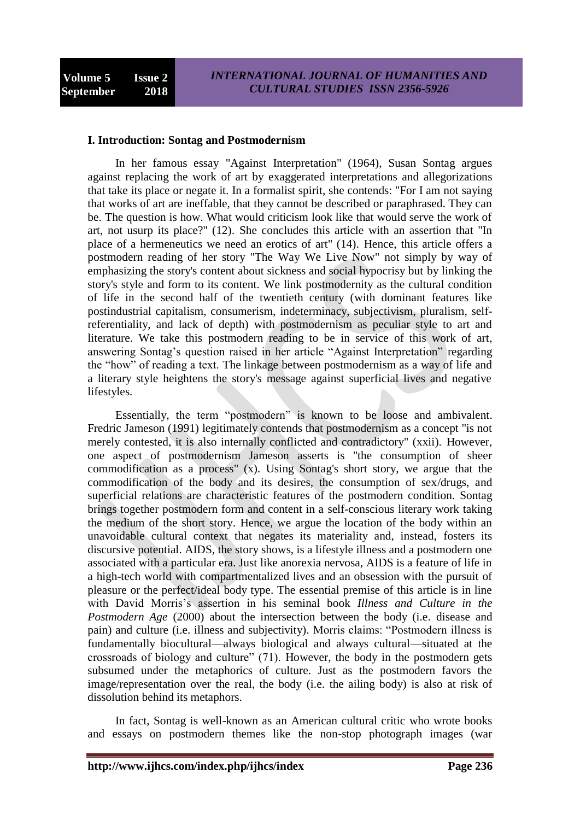#### **I. Introduction: Sontag and Postmodernism**

In her famous essay "Against Interpretation" (1964), Susan Sontag argues against replacing the work of art by exaggerated interpretations and allegorizations that take its place or negate it. In a formalist spirit, she contends: "For I am not saying that works of art are ineffable, that they cannot be described or paraphrased. They can be. The question is how. What would criticism look like that would serve the work of art, not usurp its place?" (12). She concludes this article with an assertion that "In place of a hermeneutics we need an erotics of art" (14). Hence, this article offers a postmodern reading of her story "The Way We Live Now" not simply by way of emphasizing the story's content about sickness and social hypocrisy but by linking the story's style and form to its content. We link postmodernity as the cultural condition of life in the second half of the twentieth century (with dominant features like postindustrial capitalism, consumerism, indeterminacy, subjectivism, pluralism, selfreferentiality, and lack of depth) with postmodernism as peculiar style to art and literature. We take this postmodern reading to be in service of this work of art, answering Sontag's question raised in her article "Against Interpretation" regarding the "how" of reading a text. The linkage between postmodernism as a way of life and a literary style heightens the story's message against superficial lives and negative lifestyles.

Essentially, the term "postmodern" is known to be loose and ambivalent. Fredric Jameson (1991) legitimately contends that postmodernism as a concept "is not merely contested, it is also internally conflicted and contradictory" (xxii). However, one aspect of postmodernism Jameson asserts is "the consumption of sheer commodification as a process" (x). Using Sontag's short story, we argue that the commodification of the body and its desires, the consumption of sex/drugs, and superficial relations are characteristic features of the postmodern condition. Sontag brings together postmodern form and content in a self-conscious literary work taking the medium of the short story. Hence, we argue the location of the body within an unavoidable cultural context that negates its materiality and, instead, fosters its discursive potential. AIDS, the story shows, is a lifestyle illness and a postmodern one associated with a particular era. Just like anorexia nervosa, AIDS is a feature of life in a high-tech world with compartmentalized lives and an obsession with the pursuit of pleasure or the perfect/ideal body type. The essential premise of this article is in line with David Morris's assertion in his seminal book *Illness and Culture in the Postmodern Age* (2000) about the intersection between the body (i.e. disease and pain) and culture (i.e. illness and subjectivity). Morris claims: "Postmodern illness is fundamentally biocultural—always biological and always cultural—situated at the crossroads of biology and culture"  $(71)$ . However, the body in the postmodern gets subsumed under the metaphorics of culture. Just as the postmodern favors the image/representation over the real, the body (i.e. the ailing body) is also at risk of dissolution behind its metaphors.

In fact, Sontag is well-known as an American cultural critic who wrote books and essays on postmodern themes like the non-stop photograph images (war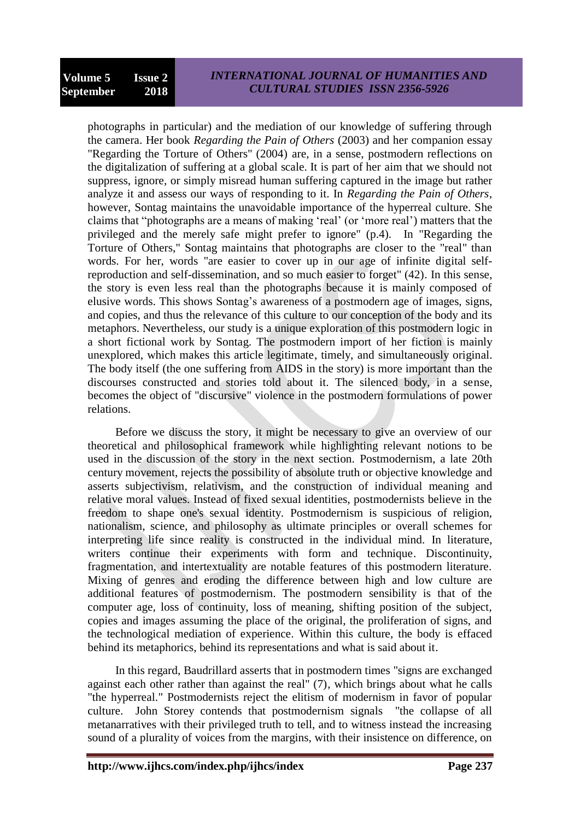photographs in particular) and the mediation of our knowledge of suffering through the camera. Her book *Regarding the Pain of Others* (2003) and her companion essay "Regarding the Torture of Others" (2004) are, in a sense, postmodern reflections on the digitalization of suffering at a global scale. It is part of her aim that we should not suppress, ignore, or simply misread human suffering captured in the image but rather analyze it and assess our ways of responding to it. In *Regarding the Pain of Others*, however, Sontag maintains the unavoidable importance of the hyperreal culture. She claims that "photographs are a means of making 'real' (or 'more real') matters that the privileged and the merely safe might prefer to ignore" (p.4). In "Regarding the Torture of Others," Sontag maintains that photographs are closer to the "real" than words. For her, words "are easier to cover up in our age of infinite digital selfreproduction and self-dissemination, and so much easier to forget" (42). In this sense, the story is even less real than the photographs because it is mainly composed of elusive words. This shows Sontag's awareness of a postmodern age of images, signs, and copies, and thus the relevance of this culture to our conception of the body and its metaphors. Nevertheless, our study is a unique exploration of this postmodern logic in a short fictional work by Sontag. The postmodern import of her fiction is mainly unexplored, which makes this article legitimate, timely, and simultaneously original. The body itself (the one suffering from AIDS in the story) is more important than the discourses constructed and stories told about it. The silenced body, in a sense, becomes the object of "discursive" violence in the postmodern formulations of power relations.

Before we discuss the story, it might be necessary to give an overview of our theoretical and philosophical framework while highlighting relevant notions to be used in the discussion of the story in the next section. Postmodernism, a late 20th century movement, rejects the possibility of absolute truth or objective knowledge and asserts subjectivism, relativism, and the construction of individual meaning and relative moral values. Instead of fixed sexual identities, postmodernists believe in the freedom to shape one's sexual identity. Postmodernism is suspicious of religion, nationalism, science, and philosophy as ultimate principles or overall schemes for interpreting life since reality is constructed in the individual mind. In literature, writers continue their experiments with form and technique. Discontinuity, fragmentation, and intertextuality are notable features of this postmodern literature. Mixing of genres and eroding the difference between high and low culture are additional features of postmodernism. The postmodern sensibility is that of the computer age, loss of continuity, loss of meaning, shifting position of the subject, copies and images assuming the place of the original, the proliferation of signs, and the technological mediation of experience. Within this culture, the body is effaced behind its metaphorics, behind its representations and what is said about it.

In this regard, Baudrillard asserts that in postmodern times "signs are exchanged against each other rather than against the real" (7), which brings about what he calls "the hyperreal." Postmodernists reject the elitism of modernism in favor of popular culture. John Storey contends that postmodernism signals "the collapse of all metanarratives with their privileged truth to tell, and to witness instead the increasing sound of a plurality of voices from the margins, with their insistence on difference, on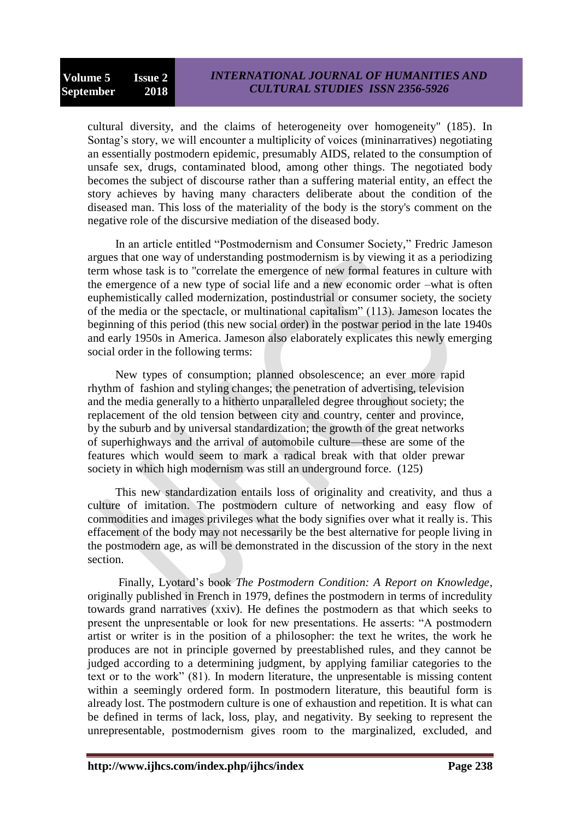cultural diversity, and the claims of heterogeneity over homogeneity" (185). In Sontag's story, we will encounter a multiplicity of voices (mininarratives) negotiating an essentially postmodern epidemic, presumably AIDS, related to the consumption of unsafe sex, drugs, contaminated blood, among other things. The negotiated body becomes the subject of discourse rather than a suffering material entity, an effect the story achieves by having many characters deliberate about the condition of the diseased man. This loss of the materiality of the body is the story's comment on the negative role of the discursive mediation of the diseased body.

In an article entitled "Postmodernism and Consumer Society," Fredric Jameson argues that one way of understanding postmodernism is by viewing it as a periodizing term whose task is to "correlate the emergence of new formal features in culture with the emergence of a new type of social life and a new economic order –what is often euphemistically called modernization, postindustrial or consumer society, the society of the media or the spectacle, or multinational capitalism" (113). Jameson locates the beginning of this period (this new social order) in the postwar period in the late 1940s and early 1950s in America. Jameson also elaborately explicates this newly emerging social order in the following terms:

New types of consumption; planned obsolescence; an ever more rapid rhythm of fashion and styling changes; the penetration of advertising, television and the media generally to a hitherto unparalleled degree throughout society; the replacement of the old tension between city and country, center and province, by the suburb and by universal standardization; the growth of the great networks of superhighways and the arrival of automobile culture—these are some of the features which would seem to mark a radical break with that older prewar society in which high modernism was still an underground force. (125)

This new standardization entails loss of originality and creativity, and thus a culture of imitation. The postmodern culture of networking and easy flow of commodities and images privileges what the body signifies over what it really is. This effacement of the body may not necessarily be the best alternative for people living in the postmodern age, as will be demonstrated in the discussion of the story in the next section.

Finally, Lyotard's book *The Postmodern Condition: A Report on Knowledge*, originally published in French in 1979, defines the postmodern in terms of incredulity towards grand narratives (xxiv). He defines the postmodern as that which seeks to present the unpresentable or look for new presentations. He asserts: "A postmodern artist or writer is in the position of a philosopher: the text he writes, the work he produces are not in principle governed by preestablished rules, and they cannot be judged according to a determining judgment, by applying familiar categories to the text or to the work" (81). In modern literature, the unpresentable is missing content within a seemingly ordered form. In postmodern literature, this beautiful form is already lost. The postmodern culture is one of exhaustion and repetition. It is what can be defined in terms of lack, loss, play, and negativity. By seeking to represent the unrepresentable, postmodernism gives room to the marginalized, excluded, and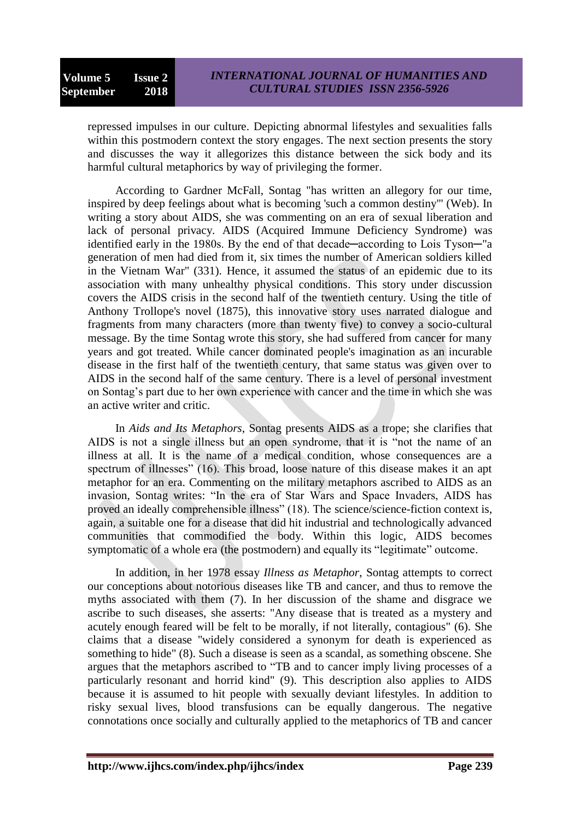repressed impulses in our culture. Depicting abnormal lifestyles and sexualities falls within this postmodern context the story engages. The next section presents the story and discusses the way it allegorizes this distance between the sick body and its harmful cultural metaphorics by way of privileging the former.

According to Gardner McFall, Sontag "has written an allegory for our time, inspired by deep feelings about what is becoming 'such a common destiny'" (Web). In writing a story about AIDS, she was commenting on an era of sexual liberation and lack of personal privacy. AIDS (Acquired Immune Deficiency Syndrome) was identified early in the 1980s. By the end of that decade—according to Lois Tyson—"a generation of men had died from it, six times the number of American soldiers killed in the Vietnam War" (331). Hence, it assumed the status of an epidemic due to its association with many unhealthy physical conditions. This story under discussion covers the AIDS crisis in the second half of the twentieth century. Using the title of Anthony Trollope's novel (1875), this innovative story uses narrated dialogue and fragments from many characters (more than twenty five) to convey a socio-cultural message. By the time Sontag wrote this story, she had suffered from cancer for many years and got treated. While cancer dominated people's imagination as an incurable disease in the first half of the twentieth century, that same status was given over to AIDS in the second half of the same century. There is a level of personal investment on Sontag's part due to her own experience with cancer and the time in which she was an active writer and critic.

In *Aids and Its Metaphors*, Sontag presents AIDS as a trope; she clarifies that AIDS is not a single illness but an open syndrome, that it is "not the name of an illness at all. It is the name of a medical condition, whose consequences are a spectrum of illnesses"  $(16)$ . This broad, loose nature of this disease makes it an apt metaphor for an era. Commenting on the military metaphors ascribed to AIDS as an invasion, Sontag writes: "In the era of Star Wars and Space Invaders, AIDS has proved an ideally comprehensible illness" (18). The science/science-fiction context is, again, a suitable one for a disease that did hit industrial and technologically advanced communities that commodified the body. Within this logic, AIDS becomes symptomatic of a whole era (the postmodern) and equally its "legitimate" outcome.

In addition, in her 1978 essay *Illness as Metaphor*, Sontag attempts to correct our conceptions about notorious diseases like TB and cancer, and thus to remove the myths associated with them (7). In her discussion of the shame and disgrace we ascribe to such diseases, she asserts: "Any disease that is treated as a mystery and acutely enough feared will be felt to be morally, if not literally, contagious" (6). She claims that a disease "widely considered a synonym for death is experienced as something to hide" (8). Such a disease is seen as a scandal, as something obscene. She argues that the metaphors ascribed to "TB and to cancer imply living processes of a particularly resonant and horrid kind" (9). This description also applies to AIDS because it is assumed to hit people with sexually deviant lifestyles. In addition to risky sexual lives, blood transfusions can be equally dangerous. The negative connotations once socially and culturally applied to the metaphorics of TB and cancer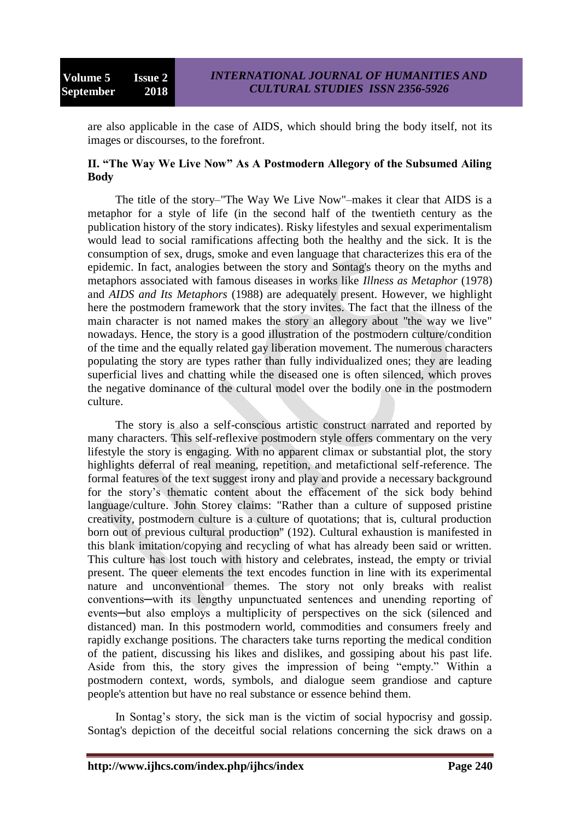are also applicable in the case of AIDS, which should bring the body itself, not its images or discourses, to the forefront.

### **II. "The Way We Live Now" As A Postmodern Allegory of the Subsumed Ailing Body**

The title of the story–"The Way We Live Now"–makes it clear that AIDS is a metaphor for a style of life (in the second half of the twentieth century as the publication history of the story indicates). Risky lifestyles and sexual experimentalism would lead to social ramifications affecting both the healthy and the sick. It is the consumption of sex, drugs, smoke and even language that characterizes this era of the epidemic. In fact, analogies between the story and Sontag's theory on the myths and metaphors associated with famous diseases in works like *Illness as Metaphor* (1978) and *AIDS and Its Metaphors* (1988) are adequately present. However, we highlight here the postmodern framework that the story invites. The fact that the illness of the main character is not named makes the story an allegory about "the way we live" nowadays. Hence, the story is a good illustration of the postmodern culture/condition of the time and the equally related gay liberation movement. The numerous characters populating the story are types rather than fully individualized ones; they are leading superficial lives and chatting while the diseased one is often silenced, which proves the negative dominance of the cultural model over the bodily one in the postmodern culture.

The story is also a self-conscious artistic construct narrated and reported by many characters. This self-reflexive postmodern style offers commentary on the very lifestyle the story is engaging. With no apparent climax or substantial plot, the story highlights deferral of real meaning, repetition, and metafictional self-reference. The formal features of the text suggest irony and play and provide a necessary background for the story's thematic content about the effacement of the sick body behind language/culture. John Storey claims: "Rather than a culture of supposed pristine creativity, postmodern culture is a culture of quotations; that is, cultural production born out of previous cultural production" (192). Cultural exhaustion is manifested in this blank imitation/copying and recycling of what has already been said or written. This culture has lost touch with history and celebrates, instead, the empty or trivial present. The queer elements the text encodes function in line with its experimental nature and unconventional themes. The story not only breaks with realist conventions─with its lengthy unpunctuated sentences and unending reporting of events—but also employs a multiplicity of perspectives on the sick (silenced and distanced) man. In this postmodern world, commodities and consumers freely and rapidly exchange positions. The characters take turns reporting the medical condition of the patient, discussing his likes and dislikes, and gossiping about his past life. Aside from this, the story gives the impression of being "empty." Within a postmodern context, words, symbols, and dialogue seem grandiose and capture people's attention but have no real substance or essence behind them.

In Sontag's story, the sick man is the victim of social hypocrisy and gossip. Sontag's depiction of the deceitful social relations concerning the sick draws on a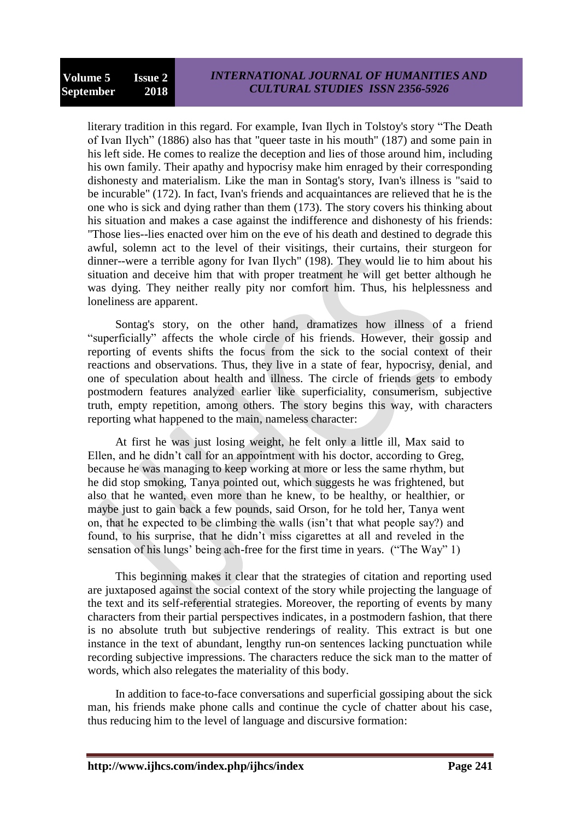literary tradition in this regard. For example, Ivan Ilych in Tolstoy's story "The Death of Ivan Ilych" (1886) also has that "queer taste in his mouth" (187) and some pain in his left side. He comes to realize the deception and lies of those around him, including his own family. Their apathy and hypocrisy make him enraged by their corresponding dishonesty and materialism. Like the man in Sontag's story, Ivan's illness is "said to be incurable" (172). In fact, Ivan's friends and acquaintances are relieved that he is the one who is sick and dying rather than them (173). The story covers his thinking about his situation and makes a case against the indifference and dishonesty of his friends: "Those lies--lies enacted over him on the eve of his death and destined to degrade this awful, solemn act to the level of their visitings, their curtains, their sturgeon for dinner--were a terrible agony for Ivan Ilych" (198). They would lie to him about his situation and deceive him that with proper treatment he will get better although he was dying. They neither really pity nor comfort him. Thus, his helplessness and loneliness are apparent.

Sontag's story, on the other hand, dramatizes how illness of a friend ―superficially‖ affects the whole circle of his friends. However, their gossip and reporting of events shifts the focus from the sick to the social context of their reactions and observations. Thus, they live in a state of fear, hypocrisy, denial, and one of speculation about health and illness. The circle of friends gets to embody postmodern features analyzed earlier like superficiality, consumerism, subjective truth, empty repetition, among others. The story begins this way, with characters reporting what happened to the main, nameless character:

At first he was just losing weight, he felt only a little ill, Max said to Ellen, and he didn't call for an appointment with his doctor, according to Greg, because he was managing to keep working at more or less the same rhythm, but he did stop smoking, Tanya pointed out, which suggests he was frightened, but also that he wanted, even more than he knew, to be healthy, or healthier, or maybe just to gain back a few pounds, said Orson, for he told her, Tanya went on, that he expected to be climbing the walls (isn't that what people say?) and found, to his surprise, that he didn't miss cigarettes at all and reveled in the sensation of his lungs' being ach-free for the first time in years. ("The Way" 1)

This beginning makes it clear that the strategies of citation and reporting used are juxtaposed against the social context of the story while projecting the language of the text and its self-referential strategies. Moreover, the reporting of events by many characters from their partial perspectives indicates, in a postmodern fashion, that there is no absolute truth but subjective renderings of reality. This extract is but one instance in the text of abundant, lengthy run-on sentences lacking punctuation while recording subjective impressions. The characters reduce the sick man to the matter of words, which also relegates the materiality of this body.

In addition to face-to-face conversations and superficial gossiping about the sick man, his friends make phone calls and continue the cycle of chatter about his case, thus reducing him to the level of language and discursive formation: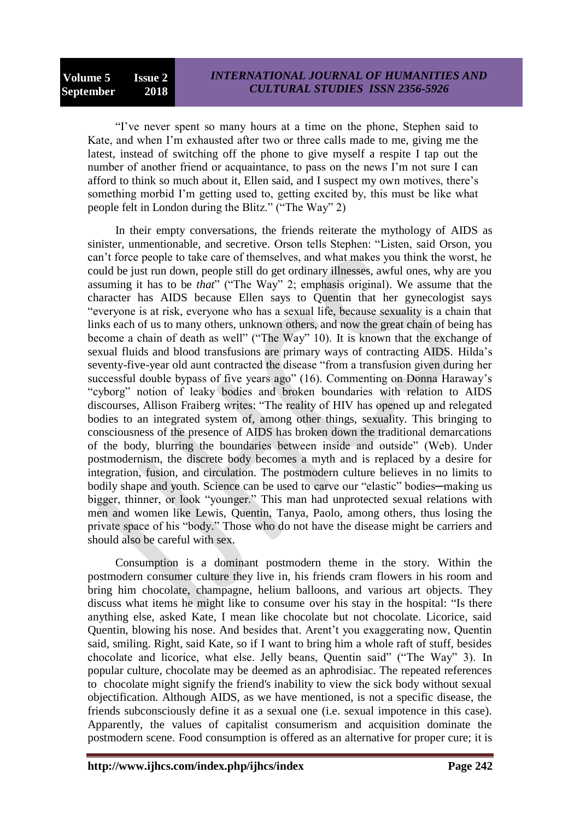"I've never spent so many hours at a time on the phone, Stephen said to Kate, and when I'm exhausted after two or three calls made to me, giving me the latest, instead of switching off the phone to give myself a respite I tap out the number of another friend or acquaintance, to pass on the news I'm not sure I can afford to think so much about it, Ellen said, and I suspect my own motives, there's something morbid I'm getting used to, getting excited by, this must be like what people felt in London during the Blitz." ("The Way" 2)

In their empty conversations, the friends reiterate the mythology of AIDS as sinister, unmentionable, and secretive. Orson tells Stephen: "Listen, said Orson, you can't force people to take care of themselves, and what makes you think the worst, he could be just run down, people still do get ordinary illnesses, awful ones, why are you assuming it has to be *that*" ("The Way" 2; emphasis original). We assume that the character has AIDS because Ellen says to Quentin that her gynecologist says "everyone is at risk, everyone who has a sexual life, because sexuality is a chain that links each of us to many others, unknown others, and now the great chain of being has become a chain of death as well" ("The Way" 10). It is known that the exchange of sexual fluids and blood transfusions are primary ways of contracting AIDS. Hilda's seventy-five-year old aunt contracted the disease "from a transfusion given during her successful double bypass of five years ago" (16). Commenting on Donna Haraway's "cyborg" notion of leaky bodies and broken boundaries with relation to AIDS discourses, Allison Fraiberg writes: "The reality of HIV has opened up and relegated bodies to an integrated system of, among other things, sexuality. This bringing to consciousness of the presence of AIDS has broken down the traditional demarcations of the body, blurring the boundaries between inside and outside" (Web). Under postmodernism, the discrete body becomes a myth and is replaced by a desire for integration, fusion, and circulation. The postmodern culture believes in no limits to bodily shape and youth. Science can be used to carve our "elastic" bodies—making us bigger, thinner, or look "younger." This man had unprotected sexual relations with men and women like Lewis, Quentin, Tanya, Paolo, among others, thus losing the private space of his "body." Those who do not have the disease might be carriers and should also be careful with sex.

Consumption is a dominant postmodern theme in the story. Within the postmodern consumer culture they live in, his friends cram flowers in his room and bring him chocolate, champagne, helium balloons, and various art objects. They discuss what items he might like to consume over his stay in the hospital: "Is there anything else, asked Kate, I mean like chocolate but not chocolate. Licorice, said Quentin, blowing his nose. And besides that. Arent't you exaggerating now, Quentin said, smiling. Right, said Kate, so if I want to bring him a whole raft of stuff, besides chocolate and licorice, what else. Jelly beans, Quentin said" ("The Way" 3). In popular culture, chocolate may be deemed as an aphrodisiac. The repeated references to chocolate might signify the friend's inability to view the sick body without sexual objectification. Although AIDS, as we have mentioned, is not a specific disease, the friends subconsciously define it as a sexual one (i.e. sexual impotence in this case). Apparently, the values of capitalist consumerism and acquisition dominate the postmodern scene. Food consumption is offered as an alternative for proper cure; it is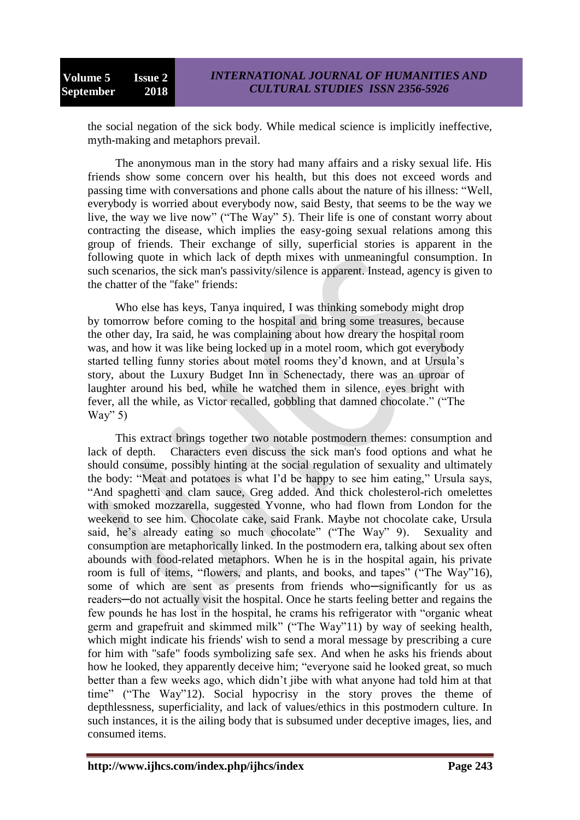the social negation of the sick body. While medical science is implicitly ineffective, myth-making and metaphors prevail.

The anonymous man in the story had many affairs and a risky sexual life. His friends show some concern over his health, but this does not exceed words and passing time with conversations and phone calls about the nature of his illness: "Well, everybody is worried about everybody now, said Besty, that seems to be the way we live, the way we live now" ("The Way" 5). Their life is one of constant worry about contracting the disease, which implies the easy-going sexual relations among this group of friends. Their exchange of silly, superficial stories is apparent in the following quote in which lack of depth mixes with unmeaningful consumption. In such scenarios, the sick man's passivity/silence is apparent. Instead, agency is given to the chatter of the "fake" friends:

Who else has keys, Tanya inquired, I was thinking somebody might drop by tomorrow before coming to the hospital and bring some treasures, because the other day, Ira said, he was complaining about how dreary the hospital room was, and how it was like being locked up in a motel room, which got everybody started telling funny stories about motel rooms they'd known, and at Ursula's story, about the Luxury Budget Inn in Schenectady, there was an uproar of laughter around his bed, while he watched them in silence, eyes bright with fever, all the while, as Victor recalled, gobbling that damned chocolate." ("The Way"  $5)$ 

This extract brings together two notable postmodern themes: consumption and lack of depth. Characters even discuss the sick man's food options and what he should consume, possibly hinting at the social regulation of sexuality and ultimately the body: "Meat and potatoes is what I'd be happy to see him eating," Ursula says, ―And spaghetti and clam sauce, Greg added. And thick cholesterol-rich omelettes with smoked mozzarella, suggested Yvonne, who had flown from London for the weekend to see him. Chocolate cake, said Frank. Maybe not chocolate cake, Ursula said, he's already eating so much chocolate" ("The Way" 9). Sexuality and consumption are metaphorically linked. In the postmodern era, talking about sex often abounds with food-related metaphors. When he is in the hospital again, his private room is full of items, "flowers, and plants, and books, and tapes" ("The Way"16), some of which are sent as presents from friends who-significantly for us as readers—do not actually visit the hospital. Once he starts feeling better and regains the few pounds he has lost in the hospital, he crams his refrigerator with "organic wheat germ and grapefruit and skimmed milk" ("The Way"11) by way of seeking health, which might indicate his friends' wish to send a moral message by prescribing a cure for him with "safe" foods symbolizing safe sex. And when he asks his friends about how he looked, they apparently deceive him; "everyone said he looked great, so much better than a few weeks ago, which didn't jibe with what anyone had told him at that time" ("The Way"12). Social hypocrisy in the story proves the theme of depthlessness, superficiality, and lack of values/ethics in this postmodern culture. In such instances, it is the ailing body that is subsumed under deceptive images, lies, and consumed items.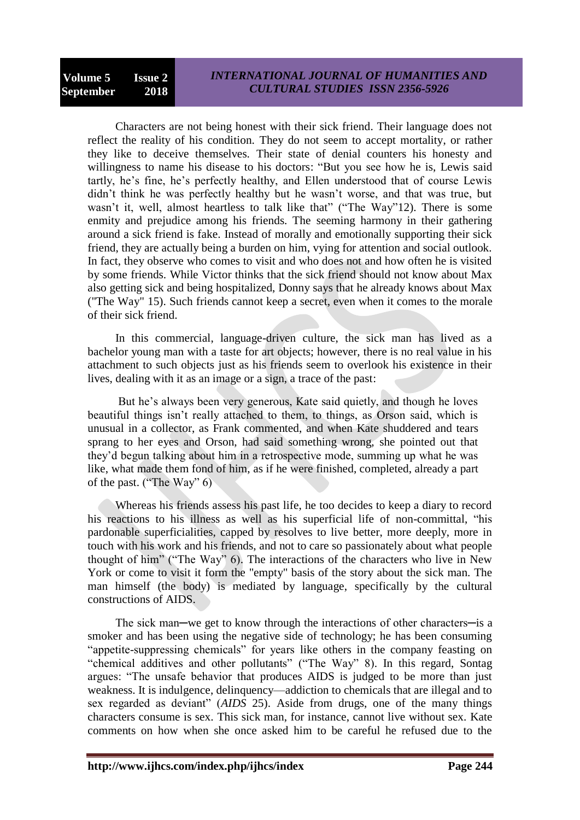Characters are not being honest with their sick friend. Their language does not reflect the reality of his condition. They do not seem to accept mortality, or rather they like to deceive themselves. Their state of denial counters his honesty and willingness to name his disease to his doctors: "But you see how he is, Lewis said tartly, he's fine, he's perfectly healthy, and Ellen understood that of course Lewis didn't think he was perfectly healthy but he wasn't worse, and that was true, but wasn't it, well, almost heartless to talk like that" ("The Way"12). There is some enmity and prejudice among his friends. The seeming harmony in their gathering around a sick friend is fake. Instead of morally and emotionally supporting their sick friend, they are actually being a burden on him, vying for attention and social outlook. In fact, they observe who comes to visit and who does not and how often he is visited by some friends. While Victor thinks that the sick friend should not know about Max also getting sick and being hospitalized, Donny says that he already knows about Max ("The Way" 15). Such friends cannot keep a secret, even when it comes to the morale of their sick friend.

In this commercial, language-driven culture, the sick man has lived as a bachelor young man with a taste for art objects; however, there is no real value in his attachment to such objects just as his friends seem to overlook his existence in their lives, dealing with it as an image or a sign, a trace of the past:

But he's always been very generous, Kate said quietly, and though he loves beautiful things isn't really attached to them, to things, as Orson said, which is unusual in a collector, as Frank commented, and when Kate shuddered and tears sprang to her eyes and Orson, had said something wrong, she pointed out that they'd begun talking about him in a retrospective mode, summing up what he was like, what made them fond of him, as if he were finished, completed, already a part of the past. ("The Way"  $6$ )

Whereas his friends assess his past life, he too decides to keep a diary to record his reactions to his illness as well as his superficial life of non-committal, "his pardonable superficialities, capped by resolves to live better, more deeply, more in touch with his work and his friends, and not to care so passionately about what people thought of him" ("The Way"  $6$ ). The interactions of the characters who live in New York or come to visit it form the "empty" basis of the story about the sick man. The man himself (the body) is mediated by language, specifically by the cultural constructions of AIDS.

The sick man—we get to know through the interactions of other characters—is a smoker and has been using the negative side of technology; he has been consuming "appetite-suppressing chemicals" for years like others in the company feasting on "chemical additives and other pollutants" ("The Way" 8). In this regard, Sontag argues: "The unsafe behavior that produces AIDS is judged to be more than just weakness. It is indulgence, delinquency—addiction to chemicals that are illegal and to sex regarded as deviant" (*AIDS* 25). Aside from drugs, one of the many things characters consume is sex. This sick man, for instance, cannot live without sex. Kate comments on how when she once asked him to be careful he refused due to the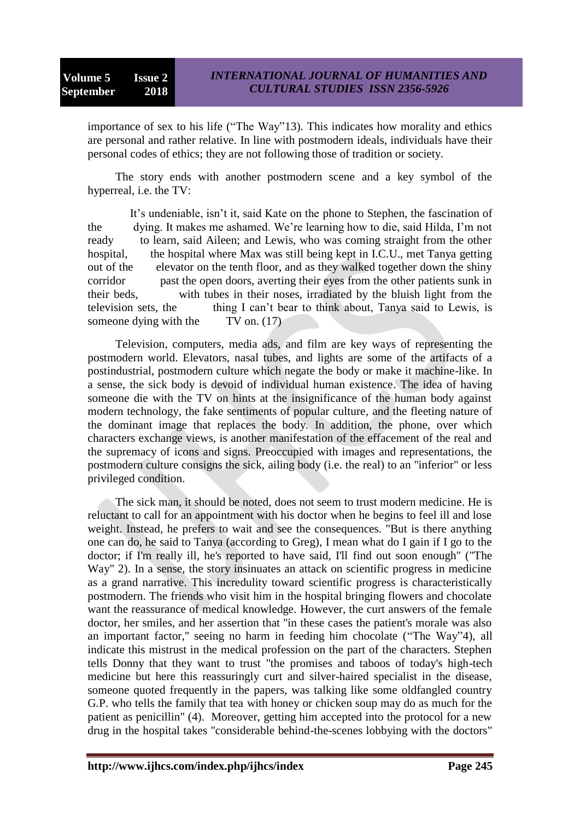importance of sex to his life ("The Way"13). This indicates how morality and ethics are personal and rather relative. In line with postmodern ideals, individuals have their personal codes of ethics; they are not following those of tradition or society.

The story ends with another postmodern scene and a key symbol of the hyperreal, i.e. the TV:

 It's undeniable, isn't it, said Kate on the phone to Stephen, the fascination of the dying. It makes me ashamed. We're learning how to die, said Hilda, I'm not ready to learn, said Aileen; and Lewis, who was coming straight from the other hospital, the hospital where Max was still being kept in I.C.U., met Tanya getting out of the elevator on the tenth floor, and as they walked together down the shiny corridor past the open doors, averting their eyes from the other patients sunk in their beds, with tubes in their noses, irradiated by the bluish light from the television sets, the thing I can't bear to think about, Tanya said to Lewis, is someone dying with the TV on. (17)

Television, computers, media ads, and film are key ways of representing the postmodern world. Elevators, nasal tubes, and lights are some of the artifacts of a postindustrial, postmodern culture which negate the body or make it machine-like. In a sense, the sick body is devoid of individual human existence. The idea of having someone die with the TV on hints at the insignificance of the human body against modern technology, the fake sentiments of popular culture, and the fleeting nature of the dominant image that replaces the body. In addition, the phone, over which characters exchange views, is another manifestation of the effacement of the real and the supremacy of icons and signs. Preoccupied with images and representations, the postmodern culture consigns the sick, ailing body (i.e. the real) to an "inferior" or less privileged condition.

The sick man, it should be noted, does not seem to trust modern medicine. He is reluctant to call for an appointment with his doctor when he begins to feel ill and lose weight. Instead, he prefers to wait and see the consequences. "But is there anything one can do, he said to Tanya (according to Greg), I mean what do I gain if I go to the doctor; if I'm really ill, he's reported to have said, I'll find out soon enough" ("The Way" 2). In a sense, the story insinuates an attack on scientific progress in medicine as a grand narrative. This incredulity toward scientific progress is characteristically postmodern. The friends who visit him in the hospital bringing flowers and chocolate want the reassurance of medical knowledge. However, the curt answers of the female doctor, her smiles, and her assertion that "in these cases the patient's morale was also an important factor," seeing no harm in feeding him chocolate ("The Way"4), all indicate this mistrust in the medical profession on the part of the characters. Stephen tells Donny that they want to trust "the promises and taboos of today's high-tech medicine but here this reassuringly curt and silver-haired specialist in the disease, someone quoted frequently in the papers, was talking like some oldfangled country G.P. who tells the family that tea with honey or chicken soup may do as much for the patient as penicillin" (4). Moreover, getting him accepted into the protocol for a new drug in the hospital takes "considerable behind-the-scenes lobbying with the doctors"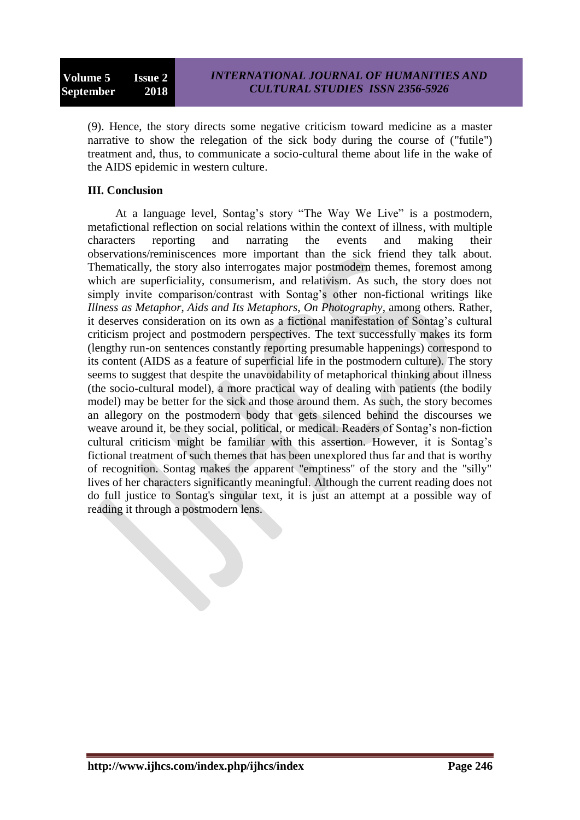(9). Hence, the story directs some negative criticism toward medicine as a master narrative to show the relegation of the sick body during the course of ("futile") treatment and, thus, to communicate a socio-cultural theme about life in the wake of the AIDS epidemic in western culture.

## **III. Conclusion**

At a language level, Sontag's story "The Way We Live" is a postmodern, metafictional reflection on social relations within the context of illness, with multiple characters reporting and narrating the events and making their observations/reminiscences more important than the sick friend they talk about. Thematically, the story also interrogates major postmodern themes, foremost among which are superficiality, consumerism, and relativism. As such, the story does not simply invite comparison/contrast with Sontag's other non-fictional writings like *Illness as Metaphor*, *Aids and Its Metaphors*, *On Photography*, among others. Rather, it deserves consideration on its own as a fictional manifestation of Sontag's cultural criticism project and postmodern perspectives. The text successfully makes its form (lengthy run-on sentences constantly reporting presumable happenings) correspond to its content (AIDS as a feature of superficial life in the postmodern culture)*.* The story seems to suggest that despite the unavoidability of metaphorical thinking about illness (the socio-cultural model), a more practical way of dealing with patients (the bodily model) may be better for the sick and those around them. As such, the story becomes an allegory on the postmodern body that gets silenced behind the discourses we weave around it, be they social, political, or medical. Readers of Sontag's non-fiction cultural criticism might be familiar with this assertion. However, it is Sontag's fictional treatment of such themes that has been unexplored thus far and that is worthy of recognition. Sontag makes the apparent "emptiness" of the story and the "silly" lives of her characters significantly meaningful. Although the current reading does not do full justice to Sontag's singular text, it is just an attempt at a possible way of reading it through a postmodern lens.